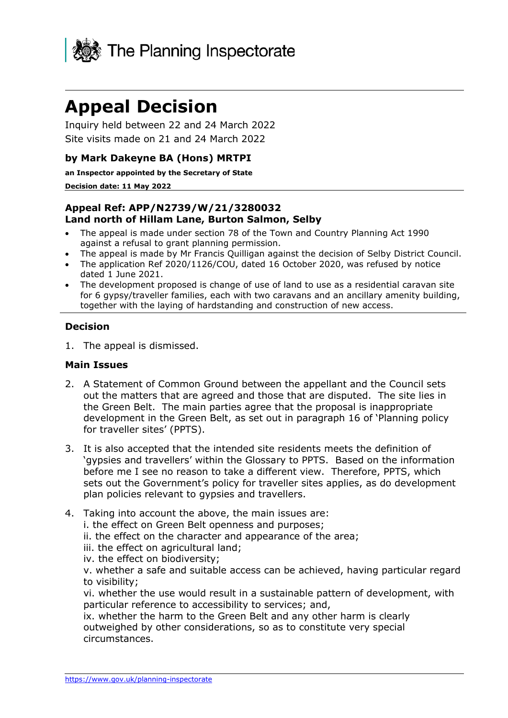

# **Appeal Decision**

Inquiry held between 22 and 24 March 2022 Site visits made on 21 and 24 March 2022

## **by Mark Dakeyne BA (Hons) MRTPI**

**an Inspector appointed by the Secretary of State**

#### **Decision date: 11 May 2022**

#### **Appeal Ref: APP/N2739/W/21/3280032 Land north of Hillam Lane, Burton Salmon, Selby**

- The appeal is made under section 78 of the Town and Country Planning Act 1990 against a refusal to grant planning permission.
- The appeal is made by Mr Francis Quilligan against the decision of Selby District Council.
- The application Ref 2020/1126/COU, dated 16 October 2020, was refused by notice dated 1 June 2021.
- The development proposed is change of use of land to use as a residential caravan site for 6 gypsy/traveller families, each with two caravans and an ancillary amenity building, together with the laying of hardstanding and construction of new access.

#### **Decision**

1. The appeal is dismissed.

#### **Main Issues**

- 2. A Statement of Common Ground between the appellant and the Council sets out the matters that are agreed and those that are disputed. The site lies in the Green Belt. The main parties agree that the proposal is inappropriate development in the Green Belt, as set out in paragraph 16 of 'Planning policy for traveller sites' (PPTS).
- 3. It is also accepted that the intended site residents meets the definition of 'gypsies and travellers' within the Glossary to PPTS. Based on the information before me I see no reason to take a different view. Therefore, PPTS, which sets out the Government's policy for traveller sites applies, as do development plan policies relevant to gypsies and travellers.
- 4. Taking into account the above, the main issues are:
	- i. the effect on Green Belt openness and purposes;
	- ii. the effect on the character and appearance of the area;
	- iii. the effect on agricultural land;
	- iv. the effect on biodiversity;

v. whether a safe and suitable access can be achieved, having particular regard to visibility;

vi. whether the use would result in a sustainable pattern of development, with particular reference to accessibility to services; and,

ix. whether the harm to the Green Belt and any other harm is clearly outweighed by other considerations, so as to constitute very special circumstances.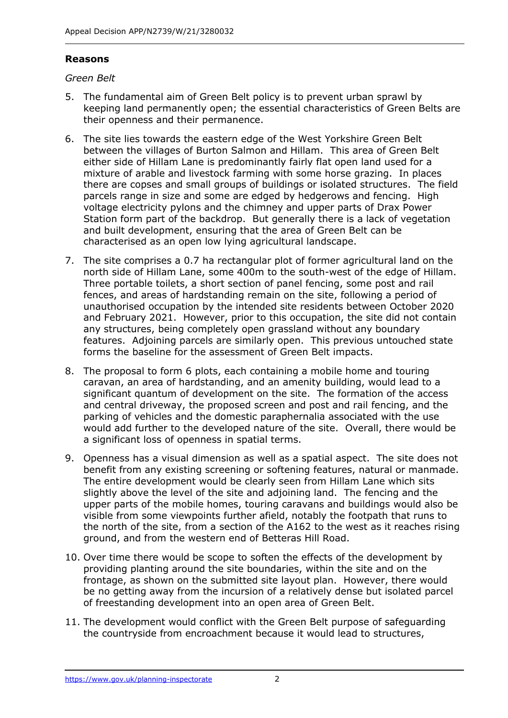## **Reasons**

## *Green Belt*

- 5. The fundamental aim of Green Belt policy is to prevent urban sprawl by keeping land permanently open; the essential characteristics of Green Belts are their openness and their permanence.
- 6. The site lies towards the eastern edge of the West Yorkshire Green Belt between the villages of Burton Salmon and Hillam. This area of Green Belt either side of Hillam Lane is predominantly fairly flat open land used for a mixture of arable and livestock farming with some horse grazing. In places there are copses and small groups of buildings or isolated structures. The field parcels range in size and some are edged by hedgerows and fencing. High voltage electricity pylons and the chimney and upper parts of Drax Power Station form part of the backdrop. But generally there is a lack of vegetation and built development, ensuring that the area of Green Belt can be characterised as an open low lying agricultural landscape.
- 7. The site comprises a 0.7 ha rectangular plot of former agricultural land on the north side of Hillam Lane, some 400m to the south-west of the edge of Hillam. Three portable toilets, a short section of panel fencing, some post and rail fences, and areas of hardstanding remain on the site, following a period of unauthorised occupation by the intended site residents between October 2020 and February 2021. However, prior to this occupation, the site did not contain any structures, being completely open grassland without any boundary features. Adjoining parcels are similarly open. This previous untouched state forms the baseline for the assessment of Green Belt impacts.
- 8. The proposal to form 6 plots, each containing a mobile home and touring caravan, an area of hardstanding, and an amenity building, would lead to a significant quantum of development on the site. The formation of the access and central driveway, the proposed screen and post and rail fencing, and the parking of vehicles and the domestic paraphernalia associated with the use would add further to the developed nature of the site. Overall, there would be a significant loss of openness in spatial terms.
- 9. Openness has a visual dimension as well as a spatial aspect. The site does not benefit from any existing screening or softening features, natural or manmade. The entire development would be clearly seen from Hillam Lane which sits slightly above the level of the site and adjoining land. The fencing and the upper parts of the mobile homes, touring caravans and buildings would also be visible from some viewpoints further afield, notably the footpath that runs to the north of the site, from a section of the A162 to the west as it reaches rising ground, and from the western end of Betteras Hill Road.
- 10. Over time there would be scope to soften the effects of the development by providing planting around the site boundaries, within the site and on the frontage, as shown on the submitted site layout plan. However, there would be no getting away from the incursion of a relatively dense but isolated parcel of freestanding development into an open area of Green Belt.
- 11. The development would conflict with the Green Belt purpose of safeguarding the countryside from encroachment because it would lead to structures,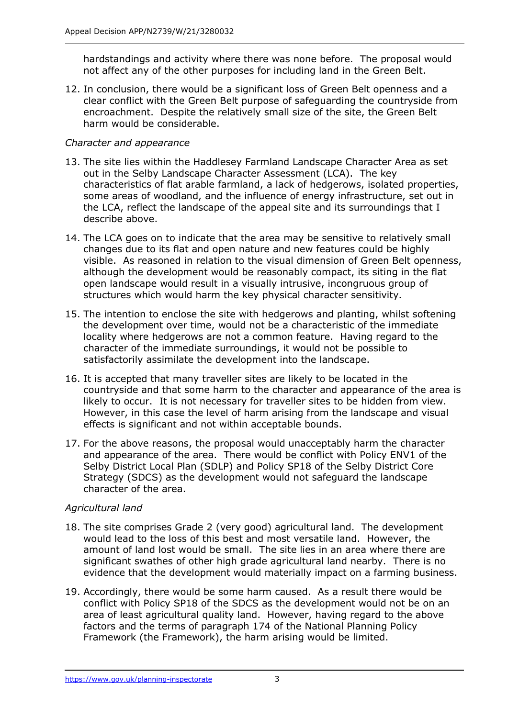hardstandings and activity where there was none before. The proposal would not affect any of the other purposes for including land in the Green Belt.

12. In conclusion, there would be a significant loss of Green Belt openness and a clear conflict with the Green Belt purpose of safeguarding the countryside from encroachment. Despite the relatively small size of the site, the Green Belt harm would be considerable.

## *Character and appearance*

- 13. The site lies within the Haddlesey Farmland Landscape Character Area as set out in the Selby Landscape Character Assessment (LCA). The key characteristics of flat arable farmland, a lack of hedgerows, isolated properties, some areas of woodland, and the influence of energy infrastructure, set out in the LCA, reflect the landscape of the appeal site and its surroundings that I describe above.
- 14. The LCA goes on to indicate that the area may be sensitive to relatively small changes due to its flat and open nature and new features could be highly visible. As reasoned in relation to the visual dimension of Green Belt openness, although the development would be reasonably compact, its siting in the flat open landscape would result in a visually intrusive, incongruous group of structures which would harm the key physical character sensitivity.
- 15. The intention to enclose the site with hedgerows and planting, whilst softening the development over time, would not be a characteristic of the immediate locality where hedgerows are not a common feature. Having regard to the character of the immediate surroundings, it would not be possible to satisfactorily assimilate the development into the landscape.
- 16. It is accepted that many traveller sites are likely to be located in the countryside and that some harm to the character and appearance of the area is likely to occur. It is not necessary for traveller sites to be hidden from view. However, in this case the level of harm arising from the landscape and visual effects is significant and not within acceptable bounds.
- 17. For the above reasons, the proposal would unacceptably harm the character and appearance of the area. There would be conflict with Policy ENV1 of the Selby District Local Plan (SDLP) and Policy SP18 of the Selby District Core Strategy (SDCS) as the development would not safeguard the landscape character of the area.

## *Agricultural land*

- 18. The site comprises Grade 2 (very good) agricultural land. The development would lead to the loss of this best and most versatile land. However, the amount of land lost would be small. The site lies in an area where there are significant swathes of other high grade agricultural land nearby. There is no evidence that the development would materially impact on a farming business.
- 19. Accordingly, there would be some harm caused. As a result there would be conflict with Policy SP18 of the SDCS as the development would not be on an area of least agricultural quality land. However, having regard to the above factors and the terms of paragraph 174 of the National Planning Policy Framework (the Framework), the harm arising would be limited.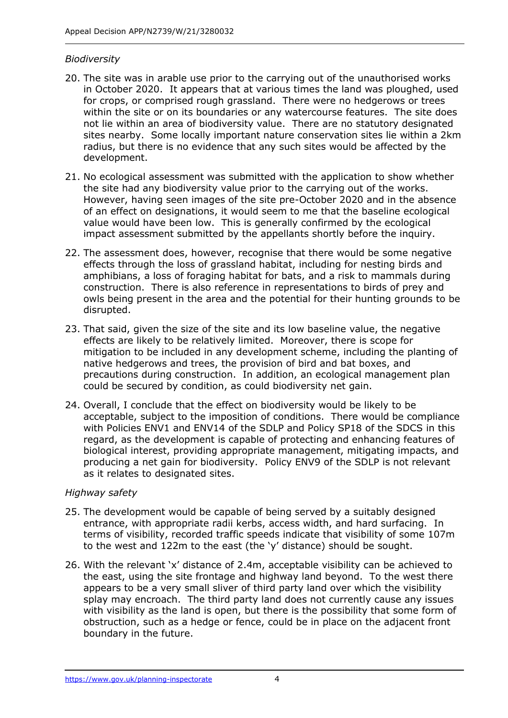#### *Biodiversity*

- 20. The site was in arable use prior to the carrying out of the unauthorised works in October 2020. It appears that at various times the land was ploughed, used for crops, or comprised rough grassland. There were no hedgerows or trees within the site or on its boundaries or any watercourse features. The site does not lie within an area of biodiversity value. There are no statutory designated sites nearby. Some locally important nature conservation sites lie within a 2km radius, but there is no evidence that any such sites would be affected by the development.
- 21. No ecological assessment was submitted with the application to show whether the site had any biodiversity value prior to the carrying out of the works. However, having seen images of the site pre-October 2020 and in the absence of an effect on designations, it would seem to me that the baseline ecological value would have been low. This is generally confirmed by the ecological impact assessment submitted by the appellants shortly before the inquiry.
- 22. The assessment does, however, recognise that there would be some negative effects through the loss of grassland habitat, including for nesting birds and amphibians, a loss of foraging habitat for bats, and a risk to mammals during construction. There is also reference in representations to birds of prey and owls being present in the area and the potential for their hunting grounds to be disrupted.
- 23. That said, given the size of the site and its low baseline value, the negative effects are likely to be relatively limited. Moreover, there is scope for mitigation to be included in any development scheme, including the planting of native hedgerows and trees, the provision of bird and bat boxes, and precautions during construction. In addition, an ecological management plan could be secured by condition, as could biodiversity net gain.
- 24. Overall, I conclude that the effect on biodiversity would be likely to be acceptable, subject to the imposition of conditions. There would be compliance with Policies ENV1 and ENV14 of the SDLP and Policy SP18 of the SDCS in this regard, as the development is capable of protecting and enhancing features of biological interest, providing appropriate management, mitigating impacts, and producing a net gain for biodiversity. Policy ENV9 of the SDLP is not relevant as it relates to designated sites.

#### *Highway safety*

- 25. The development would be capable of being served by a suitably designed entrance, with appropriate radii kerbs, access width, and hard surfacing. In terms of visibility, recorded traffic speeds indicate that visibility of some 107m to the west and 122m to the east (the 'y' distance) should be sought.
- 26. With the relevant 'x' distance of 2.4m, acceptable visibility can be achieved to the east, using the site frontage and highway land beyond. To the west there appears to be a very small sliver of third party land over which the visibility splay may encroach. The third party land does not currently cause any issues with visibility as the land is open, but there is the possibility that some form of obstruction, such as a hedge or fence, could be in place on the adjacent front boundary in the future.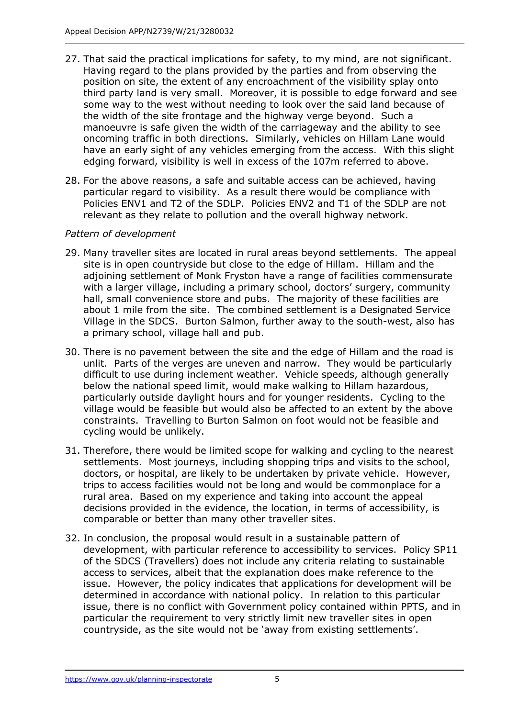- 27. That said the practical implications for safety, to my mind, are not significant. Having regard to the plans provided by the parties and from observing the position on site, the extent of any encroachment of the visibility splay onto third party land is very small. Moreover, it is possible to edge forward and see some way to the west without needing to look over the said land because of the width of the site frontage and the highway verge beyond. Such a manoeuvre is safe given the width of the carriageway and the ability to see oncoming traffic in both directions. Similarly, vehicles on Hillam Lane would have an early sight of any vehicles emerging from the access. With this slight edging forward, visibility is well in excess of the 107m referred to above.
- 28. For the above reasons, a safe and suitable access can be achieved, having particular regard to visibility. As a result there would be compliance with Policies ENV1 and T2 of the SDLP. Policies ENV2 and T1 of the SDLP are not relevant as they relate to pollution and the overall highway network.

## *Pattern of development*

- 29. Many traveller sites are located in rural areas beyond settlements. The appeal site is in open countryside but close to the edge of Hillam. Hillam and the adjoining settlement of Monk Fryston have a range of facilities commensurate with a larger village, including a primary school, doctors' surgery, community hall, small convenience store and pubs. The majority of these facilities are about 1 mile from the site. The combined settlement is a Designated Service Village in the SDCS. Burton Salmon, further away to the south-west, also has a primary school, village hall and pub.
- 30. There is no pavement between the site and the edge of Hillam and the road is unlit. Parts of the verges are uneven and narrow. They would be particularly difficult to use during inclement weather. Vehicle speeds, although generally below the national speed limit, would make walking to Hillam hazardous, particularly outside daylight hours and for younger residents. Cycling to the village would be feasible but would also be affected to an extent by the above constraints. Travelling to Burton Salmon on foot would not be feasible and cycling would be unlikely.
- 31. Therefore, there would be limited scope for walking and cycling to the nearest settlements. Most journeys, including shopping trips and visits to the school, doctors, or hospital, are likely to be undertaken by private vehicle. However, trips to access facilities would not be long and would be commonplace for a rural area. Based on my experience and taking into account the appeal decisions provided in the evidence, the location, in terms of accessibility, is comparable or better than many other traveller sites.
- 32. In conclusion, the proposal would result in a sustainable pattern of development, with particular reference to accessibility to services. Policy SP11 of the SDCS (Travellers) does not include any criteria relating to sustainable access to services, albeit that the explanation does make reference to the issue. However, the policy indicates that applications for development will be determined in accordance with national policy. In relation to this particular issue, there is no conflict with Government policy contained within PPTS, and in particular the requirement to very strictly limit new traveller sites in open countryside, as the site would not be 'away from existing settlements'.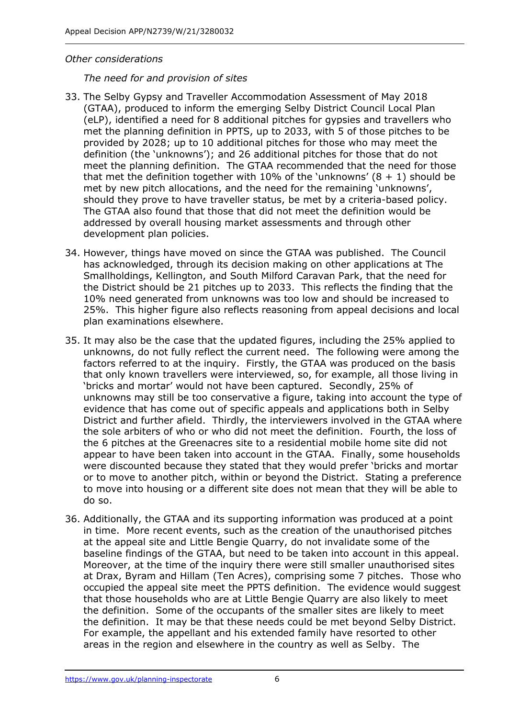#### *Other considerations*

*The need for and provision of sites*

- 33. The Selby Gypsy and Traveller Accommodation Assessment of May 2018 (GTAA), produced to inform the emerging Selby District Council Local Plan (eLP), identified a need for 8 additional pitches for gypsies and travellers who met the planning definition in PPTS, up to 2033, with 5 of those pitches to be provided by 2028; up to 10 additional pitches for those who may meet the definition (the 'unknowns'); and 26 additional pitches for those that do not meet the planning definition. The GTAA recommended that the need for those that met the definition together with 10% of the 'unknowns'  $(8 + 1)$  should be met by new pitch allocations, and the need for the remaining 'unknowns', should they prove to have traveller status, be met by a criteria-based policy. The GTAA also found that those that did not meet the definition would be addressed by overall housing market assessments and through other development plan policies.
- 34. However, things have moved on since the GTAA was published. The Council has acknowledged, through its decision making on other applications at The Smallholdings, Kellington, and South Milford Caravan Park, that the need for the District should be 21 pitches up to 2033. This reflects the finding that the 10% need generated from unknowns was too low and should be increased to 25%. This higher figure also reflects reasoning from appeal decisions and local plan examinations elsewhere.
- 35. It may also be the case that the updated figures, including the 25% applied to unknowns, do not fully reflect the current need. The following were among the factors referred to at the inquiry. Firstly, the GTAA was produced on the basis that only known travellers were interviewed, so, for example, all those living in 'bricks and mortar' would not have been captured. Secondly, 25% of unknowns may still be too conservative a figure, taking into account the type of evidence that has come out of specific appeals and applications both in Selby District and further afield. Thirdly, the interviewers involved in the GTAA where the sole arbiters of who or who did not meet the definition. Fourth, the loss of the 6 pitches at the Greenacres site to a residential mobile home site did not appear to have been taken into account in the GTAA. Finally, some households were discounted because they stated that they would prefer 'bricks and mortar or to move to another pitch, within or beyond the District. Stating a preference to move into housing or a different site does not mean that they will be able to do so.
- 36. Additionally, the GTAA and its supporting information was produced at a point in time. More recent events, such as the creation of the unauthorised pitches at the appeal site and Little Bengie Quarry, do not invalidate some of the baseline findings of the GTAA, but need to be taken into account in this appeal. Moreover, at the time of the inquiry there were still smaller unauthorised sites at Drax, Byram and Hillam (Ten Acres), comprising some 7 pitches. Those who occupied the appeal site meet the PPTS definition. The evidence would suggest that those households who are at Little Bengie Quarry are also likely to meet the definition. Some of the occupants of the smaller sites are likely to meet the definition. It may be that these needs could be met beyond Selby District. For example, the appellant and his extended family have resorted to other areas in the region and elsewhere in the country as well as Selby. The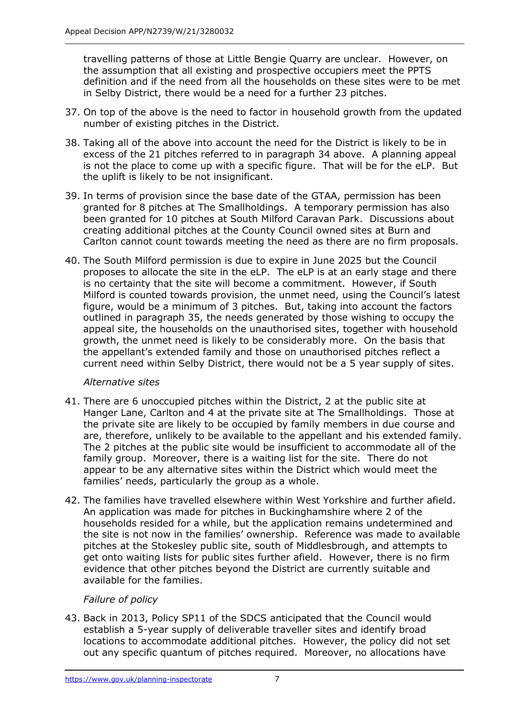travelling patterns of those at Little Bengie Quarry are unclear. However, on the assumption that all existing and prospective occupiers meet the PPTS definition and if the need from all the households on these sites were to be met in Selby District, there would be a need for a further 23 pitches.

- 37. On top of the above is the need to factor in household growth from the updated number of existing pitches in the District.
- 38. Taking all of the above into account the need for the District is likely to be in excess of the 21 pitches referred to in paragraph 34 above. A planning appeal is not the place to come up with a specific figure. That will be for the eLP. But the uplift is likely to be not insignificant.
- 39. In terms of provision since the base date of the GTAA, permission has been granted for 8 pitches at The Smallholdings. A temporary permission has also been granted for 10 pitches at South Milford Caravan Park. Discussions about creating additional pitches at the County Council owned sites at Burn and Carlton cannot count towards meeting the need as there are no firm proposals.
- 40. The South Milford permission is due to expire in June 2025 but the Council proposes to allocate the site in the eLP. The eLP is at an early stage and there is no certainty that the site will become a commitment. However, if South Milford is counted towards provision, the unmet need, using the Council's latest figure, would be a minimum of 3 pitches. But, taking into account the factors outlined in paragraph 35, the needs generated by those wishing to occupy the appeal site, the households on the unauthorised sites, together with household growth, the unmet need is likely to be considerably more. On the basis that the appellant's extended family and those on unauthorised pitches reflect a current need within Selby District, there would not be a 5 year supply of sites.

#### *Alternative sites*

- 41. There are 6 unoccupied pitches within the District, 2 at the public site at Hanger Lane, Carlton and 4 at the private site at The Smallholdings. Those at the private site are likely to be occupied by family members in due course and are, therefore, unlikely to be available to the appellant and his extended family. The 2 pitches at the public site would be insufficient to accommodate all of the family group. Moreover, there is a waiting list for the site. There do not appear to be any alternative sites within the District which would meet the families' needs, particularly the group as a whole.
- 42. The families have travelled elsewhere within West Yorkshire and further afield. An application was made for pitches in Buckinghamshire where 2 of the households resided for a while, but the application remains undetermined and the site is not now in the families' ownership. Reference was made to available pitches at the Stokesley public site, south of Middlesbrough, and attempts to get onto waiting lists for public sites further afield. However, there is no firm evidence that other pitches beyond the District are currently suitable and available for the families.

## *Failure of policy*

43. Back in 2013, Policy SP11 of the SDCS anticipated that the Council would establish a 5-year supply of deliverable traveller sites and identify broad locations to accommodate additional pitches. However, the policy did not set out any specific quantum of pitches required. Moreover, no allocations have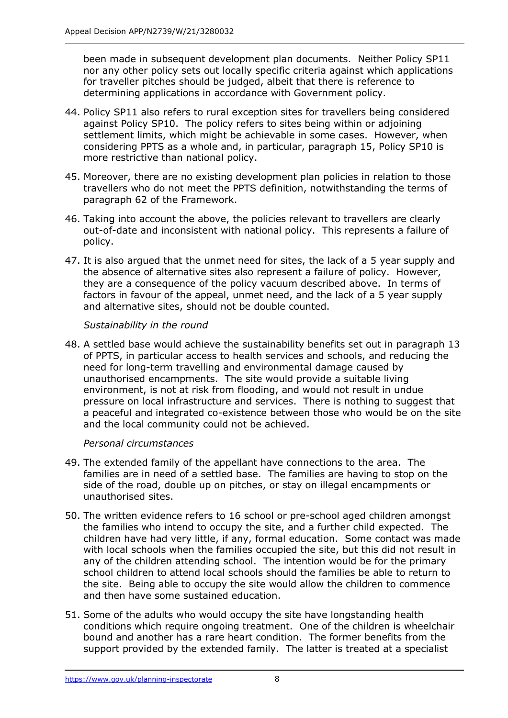been made in subsequent development plan documents. Neither Policy SP11 nor any other policy sets out locally specific criteria against which applications for traveller pitches should be judged, albeit that there is reference to determining applications in accordance with Government policy.

- 44. Policy SP11 also refers to rural exception sites for travellers being considered against Policy SP10. The policy refers to sites being within or adjoining settlement limits, which might be achievable in some cases. However, when considering PPTS as a whole and, in particular, paragraph 15, Policy SP10 is more restrictive than national policy.
- 45. Moreover, there are no existing development plan policies in relation to those travellers who do not meet the PPTS definition, notwithstanding the terms of paragraph 62 of the Framework.
- 46. Taking into account the above, the policies relevant to travellers are clearly out-of-date and inconsistent with national policy. This represents a failure of policy.
- 47. It is also argued that the unmet need for sites, the lack of a 5 year supply and the absence of alternative sites also represent a failure of policy. However, they are a consequence of the policy vacuum described above. In terms of factors in favour of the appeal, unmet need, and the lack of a 5 year supply and alternative sites, should not be double counted.

## *Sustainability in the round*

48. A settled base would achieve the sustainability benefits set out in paragraph 13 of PPTS, in particular access to health services and schools, and reducing the need for long-term travelling and environmental damage caused by unauthorised encampments. The site would provide a suitable living environment, is not at risk from flooding, and would not result in undue pressure on local infrastructure and services. There is nothing to suggest that a peaceful and integrated co-existence between those who would be on the site and the local community could not be achieved.

## *Personal circumstances*

- 49. The extended family of the appellant have connections to the area. The families are in need of a settled base. The families are having to stop on the side of the road, double up on pitches, or stay on illegal encampments or unauthorised sites.
- 50. The written evidence refers to 16 school or pre-school aged children amongst the families who intend to occupy the site, and a further child expected. The children have had very little, if any, formal education. Some contact was made with local schools when the families occupied the site, but this did not result in any of the children attending school. The intention would be for the primary school children to attend local schools should the families be able to return to the site. Being able to occupy the site would allow the children to commence and then have some sustained education.
- 51. Some of the adults who would occupy the site have longstanding health conditions which require ongoing treatment. One of the children is wheelchair bound and another has a rare heart condition. The former benefits from the support provided by the extended family. The latter is treated at a specialist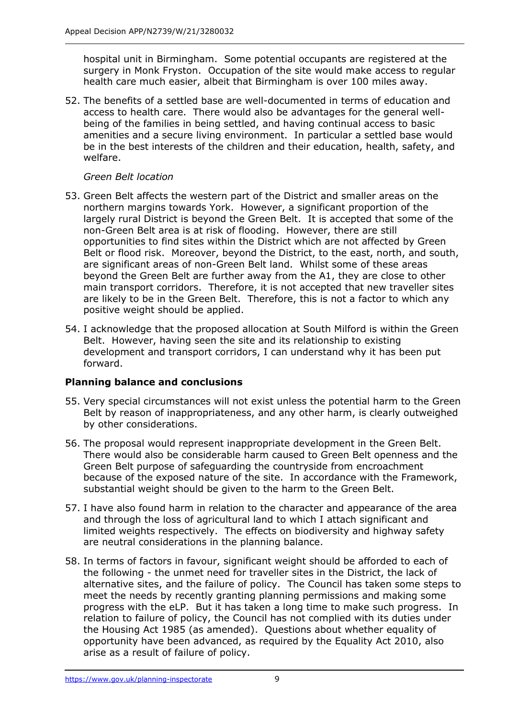hospital unit in Birmingham. Some potential occupants are registered at the surgery in Monk Fryston. Occupation of the site would make access to regular health care much easier, albeit that Birmingham is over 100 miles away.

52. The benefits of a settled base are well-documented in terms of education and access to health care. There would also be advantages for the general wellbeing of the families in being settled, and having continual access to basic amenities and a secure living environment. In particular a settled base would be in the best interests of the children and their education, health, safety, and welfare.

## *Green Belt location*

- 53. Green Belt affects the western part of the District and smaller areas on the northern margins towards York. However, a significant proportion of the largely rural District is beyond the Green Belt. It is accepted that some of the non-Green Belt area is at risk of flooding. However, there are still opportunities to find sites within the District which are not affected by Green Belt or flood risk. Moreover, beyond the District, to the east, north, and south, are significant areas of non-Green Belt land. Whilst some of these areas beyond the Green Belt are further away from the A1, they are close to other main transport corridors. Therefore, it is not accepted that new traveller sites are likely to be in the Green Belt. Therefore, this is not a factor to which any positive weight should be applied.
- 54. I acknowledge that the proposed allocation at South Milford is within the Green Belt. However, having seen the site and its relationship to existing development and transport corridors, I can understand why it has been put forward.

## **Planning balance and conclusions**

- 55. Very special circumstances will not exist unless the potential harm to the Green Belt by reason of inappropriateness, and any other harm, is clearly outweighed by other considerations.
- 56. The proposal would represent inappropriate development in the Green Belt. There would also be considerable harm caused to Green Belt openness and the Green Belt purpose of safeguarding the countryside from encroachment because of the exposed nature of the site. In accordance with the Framework, substantial weight should be given to the harm to the Green Belt.
- 57. I have also found harm in relation to the character and appearance of the area and through the loss of agricultural land to which I attach significant and limited weights respectively. The effects on biodiversity and highway safety are neutral considerations in the planning balance.
- 58. In terms of factors in favour, significant weight should be afforded to each of the following - the unmet need for traveller sites in the District, the lack of alternative sites, and the failure of policy. The Council has taken some steps to meet the needs by recently granting planning permissions and making some progress with the eLP. But it has taken a long time to make such progress. In relation to failure of policy, the Council has not complied with its duties under the Housing Act 1985 (as amended). Questions about whether equality of opportunity have been advanced, as required by the Equality Act 2010, also arise as a result of failure of policy.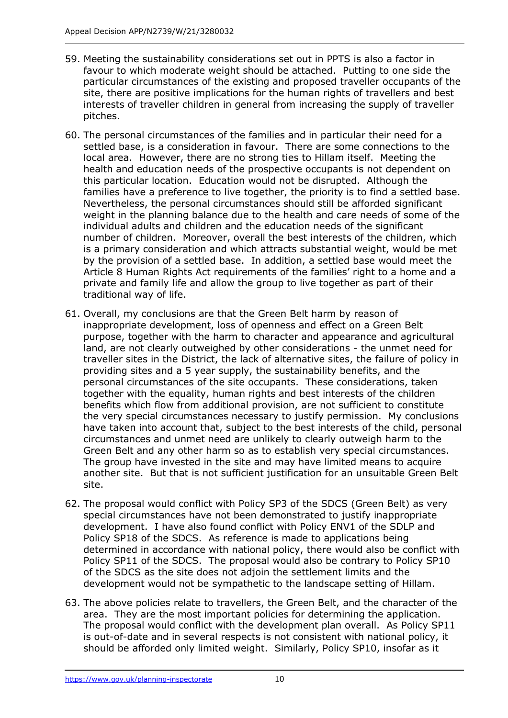- 59. Meeting the sustainability considerations set out in PPTS is also a factor in favour to which moderate weight should be attached. Putting to one side the particular circumstances of the existing and proposed traveller occupants of the site, there are positive implications for the human rights of travellers and best interests of traveller children in general from increasing the supply of traveller pitches.
- 60. The personal circumstances of the families and in particular their need for a settled base, is a consideration in favour. There are some connections to the local area. However, there are no strong ties to Hillam itself. Meeting the health and education needs of the prospective occupants is not dependent on this particular location. Education would not be disrupted. Although the families have a preference to live together, the priority is to find a settled base. Nevertheless, the personal circumstances should still be afforded significant weight in the planning balance due to the health and care needs of some of the individual adults and children and the education needs of the significant number of children. Moreover, overall the best interests of the children, which is a primary consideration and which attracts substantial weight, would be met by the provision of a settled base. In addition, a settled base would meet the Article 8 Human Rights Act requirements of the families' right to a home and a private and family life and allow the group to live together as part of their traditional way of life.
- 61. Overall, my conclusions are that the Green Belt harm by reason of inappropriate development, loss of openness and effect on a Green Belt purpose, together with the harm to character and appearance and agricultural land, are not clearly outweighed by other considerations - the unmet need for traveller sites in the District, the lack of alternative sites, the failure of policy in providing sites and a 5 year supply, the sustainability benefits, and the personal circumstances of the site occupants. These considerations, taken together with the equality, human rights and best interests of the children benefits which flow from additional provision, are not sufficient to constitute the very special circumstances necessary to justify permission. My conclusions have taken into account that, subject to the best interests of the child, personal circumstances and unmet need are unlikely to clearly outweigh harm to the Green Belt and any other harm so as to establish very special circumstances. The group have invested in the site and may have limited means to acquire another site. But that is not sufficient justification for an unsuitable Green Belt site.
- 62. The proposal would conflict with Policy SP3 of the SDCS (Green Belt) as very special circumstances have not been demonstrated to justify inappropriate development. I have also found conflict with Policy ENV1 of the SDLP and Policy SP18 of the SDCS. As reference is made to applications being determined in accordance with national policy, there would also be conflict with Policy SP11 of the SDCS. The proposal would also be contrary to Policy SP10 of the SDCS as the site does not adjoin the settlement limits and the development would not be sympathetic to the landscape setting of Hillam.
- 63. The above policies relate to travellers, the Green Belt, and the character of the area. They are the most important policies for determining the application. The proposal would conflict with the development plan overall. As Policy SP11 is out-of-date and in several respects is not consistent with national policy, it should be afforded only limited weight. Similarly, Policy SP10, insofar as it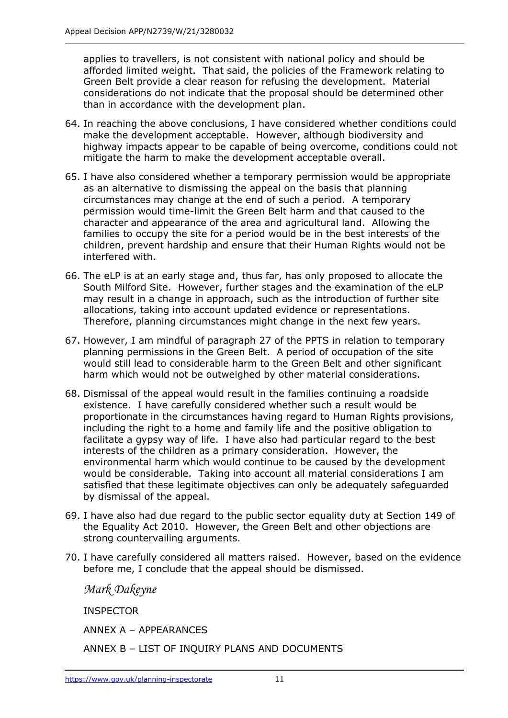applies to travellers, is not consistent with national policy and should be afforded limited weight. That said, the policies of the Framework relating to Green Belt provide a clear reason for refusing the development. Material considerations do not indicate that the proposal should be determined other than in accordance with the development plan.

- 64. In reaching the above conclusions, I have considered whether conditions could make the development acceptable. However, although biodiversity and highway impacts appear to be capable of being overcome, conditions could not mitigate the harm to make the development acceptable overall.
- 65. I have also considered whether a temporary permission would be appropriate as an alternative to dismissing the appeal on the basis that planning circumstances may change at the end of such a period. A temporary permission would time-limit the Green Belt harm and that caused to the character and appearance of the area and agricultural land. Allowing the families to occupy the site for a period would be in the best interests of the children, prevent hardship and ensure that their Human Rights would not be interfered with.
- 66. The eLP is at an early stage and, thus far, has only proposed to allocate the South Milford Site. However, further stages and the examination of the eLP may result in a change in approach, such as the introduction of further site allocations, taking into account updated evidence or representations. Therefore, planning circumstances might change in the next few years.
- 67. However, I am mindful of paragraph 27 of the PPTS in relation to temporary planning permissions in the Green Belt. A period of occupation of the site would still lead to considerable harm to the Green Belt and other significant harm which would not be outweighed by other material considerations.
- 68. Dismissal of the appeal would result in the families continuing a roadside existence. I have carefully considered whether such a result would be proportionate in the circumstances having regard to Human Rights provisions, including the right to a home and family life and the positive obligation to facilitate a gypsy way of life. I have also had particular regard to the best interests of the children as a primary consideration. However, the environmental harm which would continue to be caused by the development would be considerable. Taking into account all material considerations I am satisfied that these legitimate objectives can only be adequately safeguarded by dismissal of the appeal.
- 69. I have also had due regard to the public sector equality duty at Section 149 of the Equality Act 2010. However, the Green Belt and other objections are strong countervailing arguments.
- 70. I have carefully considered all matters raised. However, based on the evidence before me, I conclude that the appeal should be dismissed.

*Mark Dakeyne*

INSPECTOR

ANNEX A – APPEARANCES

ANNEX B – LIST OF INQUIRY PLANS AND DOCUMENTS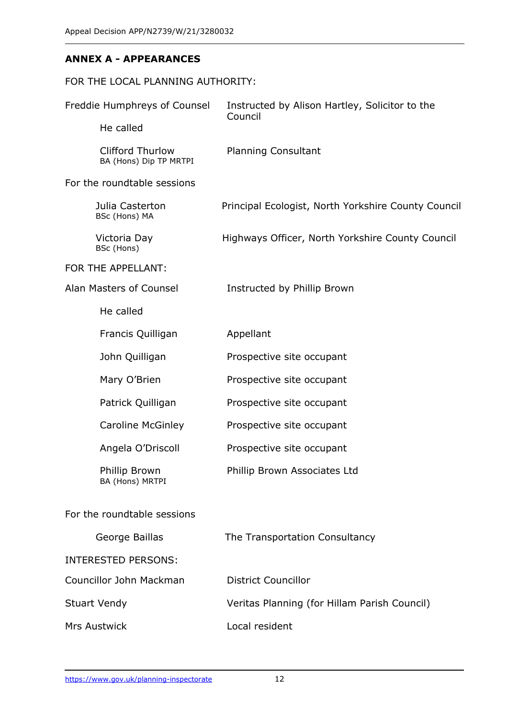## **ANNEX A - APPEARANCES**

| FOR THE LOCAL PLANNING AUTHORITY:                 |                                                           |
|---------------------------------------------------|-----------------------------------------------------------|
| Freddie Humphreys of Counsel                      | Instructed by Alison Hartley, Solicitor to the<br>Council |
| He called                                         |                                                           |
| <b>Clifford Thurlow</b><br>BA (Hons) Dip TP MRTPI | <b>Planning Consultant</b>                                |
| For the roundtable sessions                       |                                                           |
| Julia Casterton<br>BSc (Hons) MA                  | Principal Ecologist, North Yorkshire County Council       |
| Victoria Day<br>BSc (Hons)                        | Highways Officer, North Yorkshire County Council          |
| FOR THE APPELLANT:                                |                                                           |
| Alan Masters of Counsel                           | Instructed by Phillip Brown                               |
| He called                                         |                                                           |
| Francis Quilligan                                 | Appellant                                                 |
| John Quilligan                                    | Prospective site occupant                                 |
| Mary O'Brien                                      | Prospective site occupant                                 |
| Patrick Quilligan                                 | Prospective site occupant                                 |
| <b>Caroline McGinley</b>                          | Prospective site occupant                                 |
| Angela O'Driscoll                                 | Prospective site occupant                                 |
| Phillip Brown<br>BA (Hons) MRTPI                  | Phillip Brown Associates Ltd                              |
| For the roundtable sessions                       |                                                           |
| George Baillas                                    | The Transportation Consultancy                            |
| <b>INTERESTED PERSONS:</b>                        |                                                           |
| Councillor John Mackman                           | <b>District Councillor</b>                                |
| <b>Stuart Vendy</b>                               | Veritas Planning (for Hillam Parish Council)              |
| Mrs Austwick                                      | Local resident                                            |